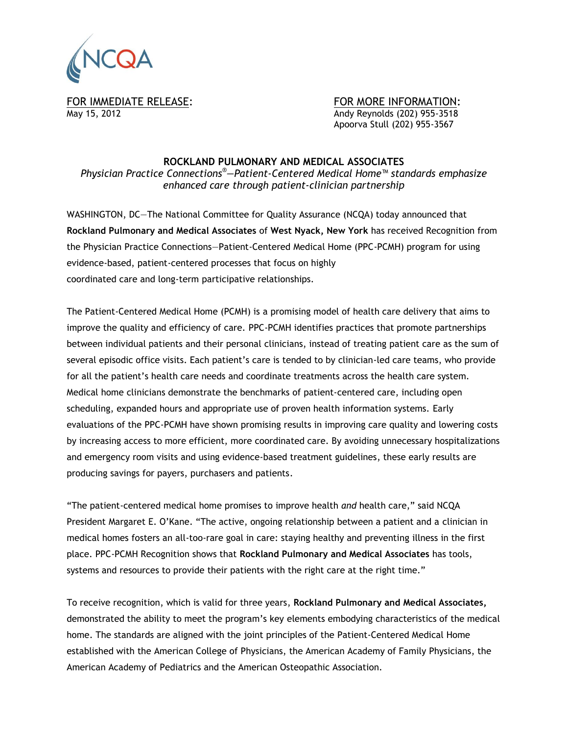

FOR IMMEDIATE RELEASE: FOR MORE INFORMATION: May 15, 2012 Andy Reynolds (202) 955-3518 Apoorva Stull (202) 955-3567

## **ROCKLAND PULMONARY AND MEDICAL ASSOCIATES**

*Physician Practice Connections®—Patient-Centered Medical Home™ standards emphasize enhanced care through patient-clinician partnership*

WASHINGTON, DC—The National Committee for Quality Assurance (NCQA) today announced that **Rockland Pulmonary and Medical Associates** of **West Nyack, New York** has received Recognition from the Physician Practice Connections—Patient-Centered Medical Home (PPC-PCMH) program for using evidence-based, patient-centered processes that focus on highly coordinated care and long‐term participative relationships.

The Patient-Centered Medical Home (PCMH) is a promising model of health care delivery that aims to improve the quality and efficiency of care. PPC-PCMH identifies practices that promote partnerships between individual patients and their personal clinicians, instead of treating patient care as the sum of several episodic office visits. Each patient's care is tended to by clinician-led care teams, who provide for all the patient's health care needs and coordinate treatments across the health care system. Medical home clinicians demonstrate the benchmarks of patient-centered care, including open scheduling, expanded hours and appropriate use of proven health information systems. Early evaluations of the PPC-PCMH have shown promising results in improving care quality and lowering costs by increasing access to more efficient, more coordinated care. By avoiding unnecessary hospitalizations and emergency room visits and using evidence-based treatment guidelines, these early results are producing savings for payers, purchasers and patients.

"The patient-centered medical home promises to improve health *and* health care," said NCQA President Margaret E. O'Kane. "The active, ongoing relationship between a patient and a clinician in medical homes fosters an all-too-rare goal in care: staying healthy and preventing illness in the first place. PPC-PCMH Recognition shows that **Rockland Pulmonary and Medical Associates** has tools, systems and resources to provide their patients with the right care at the right time."

To receive recognition, which is valid for three years, **Rockland Pulmonary and Medical Associates,** demonstrated the ability to meet the program's key elements embodying characteristics of the medical home. The standards are aligned with the joint principles of the Patient-Centered Medical Home established with the American College of Physicians, the American Academy of Family Physicians, the American Academy of Pediatrics and the American Osteopathic Association.